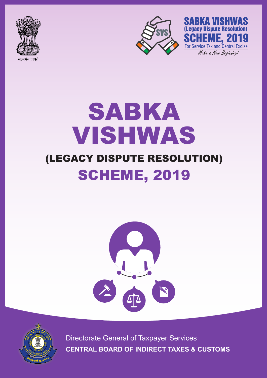





# SABKA VISHWAS (LEGACY DISPUTE RESOLUTION) **SCHEME, 2019**





Directorate General of Taxpayer Services **CENTRAL BOARD OF INDIRECT TAXES & CUSTOMS**